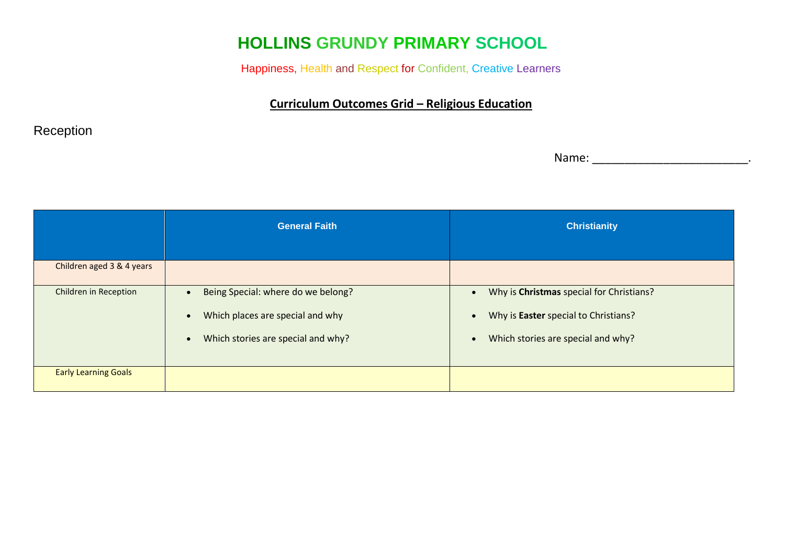# **HOLLINS GRUNDY PRIMARY SCHOOL**

Happiness, Health and Respect for Confident, Creative Learners

### **Curriculum Outcomes Grid – Religious Education**

### Reception

Name: \_\_\_\_\_\_\_\_\_\_\_\_\_\_\_\_\_\_\_\_\_\_\_\_.

|                             | <b>General Faith</b>                                                                                                                                | <b>Christianity</b>                                                                                                    |
|-----------------------------|-----------------------------------------------------------------------------------------------------------------------------------------------------|------------------------------------------------------------------------------------------------------------------------|
| Children aged 3 & 4 years   |                                                                                                                                                     |                                                                                                                        |
| Children in Reception       | Being Special: where do we belong?<br>$\bullet$<br>Which places are special and why<br>$\bullet$<br>Which stories are special and why?<br>$\bullet$ | Why is Christmas special for Christians?<br>Why is Easter special to Christians?<br>Which stories are special and why? |
| <b>Early Learning Goals</b> |                                                                                                                                                     |                                                                                                                        |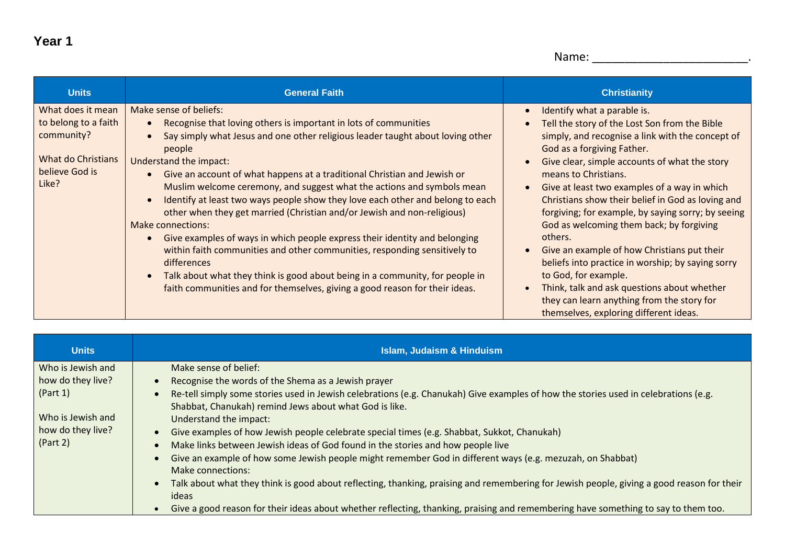```
Name: ________________________.
```

| <b>Units</b>                                                                                             | <b>General Faith</b>                                                                                                                                                                                                                                                                                                                                                                                                                                                                                                                                                                                                                                                                                                                                                                                                                                                                              | <b>Christianity</b>                                                                                                                                                                                                                                                                                                                                                                                                                                                                                                                                                                                                                                                                                                                                    |
|----------------------------------------------------------------------------------------------------------|---------------------------------------------------------------------------------------------------------------------------------------------------------------------------------------------------------------------------------------------------------------------------------------------------------------------------------------------------------------------------------------------------------------------------------------------------------------------------------------------------------------------------------------------------------------------------------------------------------------------------------------------------------------------------------------------------------------------------------------------------------------------------------------------------------------------------------------------------------------------------------------------------|--------------------------------------------------------------------------------------------------------------------------------------------------------------------------------------------------------------------------------------------------------------------------------------------------------------------------------------------------------------------------------------------------------------------------------------------------------------------------------------------------------------------------------------------------------------------------------------------------------------------------------------------------------------------------------------------------------------------------------------------------------|
| What does it mean<br>to belong to a faith<br>community?<br>What do Christians<br>believe God is<br>Like? | Make sense of beliefs:<br>Recognise that loving others is important in lots of communities<br>Say simply what Jesus and one other religious leader taught about loving other<br>people<br>Understand the impact:<br>Give an account of what happens at a traditional Christian and Jewish or<br>Muslim welcome ceremony, and suggest what the actions and symbols mean<br>Identify at least two ways people show they love each other and belong to each<br>other when they get married (Christian and/or Jewish and non-religious)<br>Make connections:<br>Give examples of ways in which people express their identity and belonging<br>within faith communities and other communities, responding sensitively to<br>differences<br>Talk about what they think is good about being in a community, for people in<br>faith communities and for themselves, giving a good reason for their ideas. | Identify what a parable is.<br>$\bullet$<br>Tell the story of the Lost Son from the Bible<br>simply, and recognise a link with the concept of<br>God as a forgiving Father.<br>Give clear, simple accounts of what the story<br>means to Christians.<br>Give at least two examples of a way in which<br>$\bullet$<br>Christians show their belief in God as loving and<br>forgiving; for example, by saying sorry; by seeing<br>God as welcoming them back; by forgiving<br>others.<br>Give an example of how Christians put their<br>beliefs into practice in worship; by saying sorry<br>to God, for example.<br>Think, talk and ask questions about whether<br>they can learn anything from the story for<br>themselves, exploring different ideas. |

| <b>Units</b>                  | <b>Islam, Judaism &amp; Hinduism</b>                                                                                                                                                          |
|-------------------------------|-----------------------------------------------------------------------------------------------------------------------------------------------------------------------------------------------|
| Who is Jewish and             | Make sense of belief:                                                                                                                                                                         |
| how do they live?             | Recognise the words of the Shema as a Jewish prayer                                                                                                                                           |
| (Part 1)                      | Re-tell simply some stories used in Jewish celebrations (e.g. Chanukah) Give examples of how the stories used in celebrations (e.g.<br>Shabbat, Chanukah) remind Jews about what God is like. |
| Who is Jewish and             | Understand the impact:                                                                                                                                                                        |
| how do they live?<br>(Part 2) | Give examples of how Jewish people celebrate special times (e.g. Shabbat, Sukkot, Chanukah)                                                                                                   |
|                               | Make links between Jewish ideas of God found in the stories and how people live                                                                                                               |
|                               | Give an example of how some Jewish people might remember God in different ways (e.g. mezuzah, on Shabbat)<br>Make connections:                                                                |
|                               | Talk about what they think is good about reflecting, thanking, praising and remembering for Jewish people, giving a good reason for their<br>ideas                                            |
|                               | Give a good reason for their ideas about whether reflecting, thanking, praising and remembering have something to say to them too.                                                            |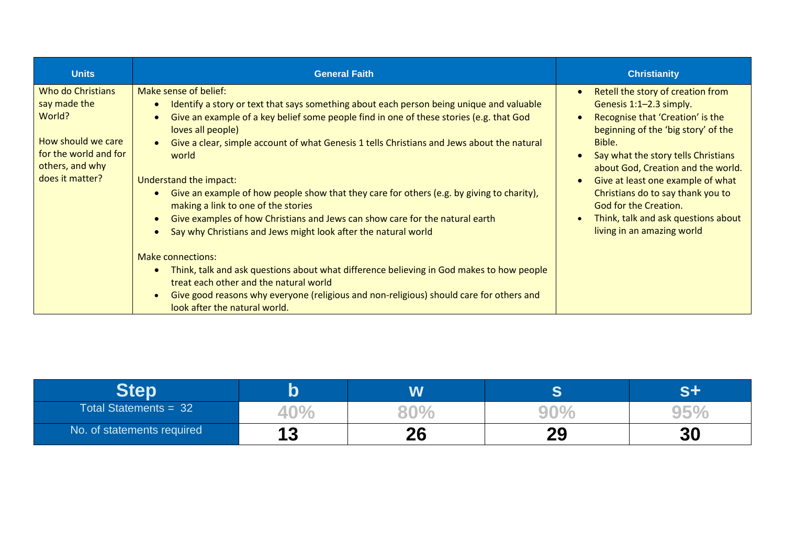| <b>Units</b>                                                                                                                     | <b>General Faith</b>                                                                                                                                                                                                                                                                                                                                                                                                                                                                                                                                                                                                                                                                                                                                                                                                                                                                                                                                   | <b>Christianity</b>                                                                                                                                                                                                                                                                                                                                                                                    |
|----------------------------------------------------------------------------------------------------------------------------------|--------------------------------------------------------------------------------------------------------------------------------------------------------------------------------------------------------------------------------------------------------------------------------------------------------------------------------------------------------------------------------------------------------------------------------------------------------------------------------------------------------------------------------------------------------------------------------------------------------------------------------------------------------------------------------------------------------------------------------------------------------------------------------------------------------------------------------------------------------------------------------------------------------------------------------------------------------|--------------------------------------------------------------------------------------------------------------------------------------------------------------------------------------------------------------------------------------------------------------------------------------------------------------------------------------------------------------------------------------------------------|
| Who do Christians<br>say made the<br>World?<br>How should we care<br>for the world and for<br>others, and why<br>does it matter? | Make sense of belief:<br>Identify a story or text that says something about each person being unique and valuable<br>Give an example of a key belief some people find in one of these stories (e.g. that God<br>loves all people)<br>Give a clear, simple account of what Genesis 1 tells Christians and Jews about the natural<br>world<br>Understand the impact:<br>Give an example of how people show that they care for others (e.g. by giving to charity),<br>making a link to one of the stories<br>Give examples of how Christians and Jews can show care for the natural earth<br>Say why Christians and Jews might look after the natural world<br><b>Make connections:</b><br>Think, talk and ask questions about what difference believing in God makes to how people<br>treat each other and the natural world<br>Give good reasons why everyone (religious and non-religious) should care for others and<br>look after the natural world. | Retell the story of creation from<br>Genesis 1:1-2.3 simply.<br>Recognise that 'Creation' is the<br>beginning of the 'big story' of the<br>Bible.<br>Say what the story tells Christians<br>about God, Creation and the world.<br>Give at least one example of what<br>Christians do to say thank you to<br>God for the Creation.<br>Think, talk and ask questions about<br>living in an amazing world |

|                            |            | W  |          |    |
|----------------------------|------------|----|----------|----|
| Total Statements = 32      | ŦU.        |    |          |    |
| No. of statements required | 1 Q<br>I J | 26 | ററ<br>LJ | 30 |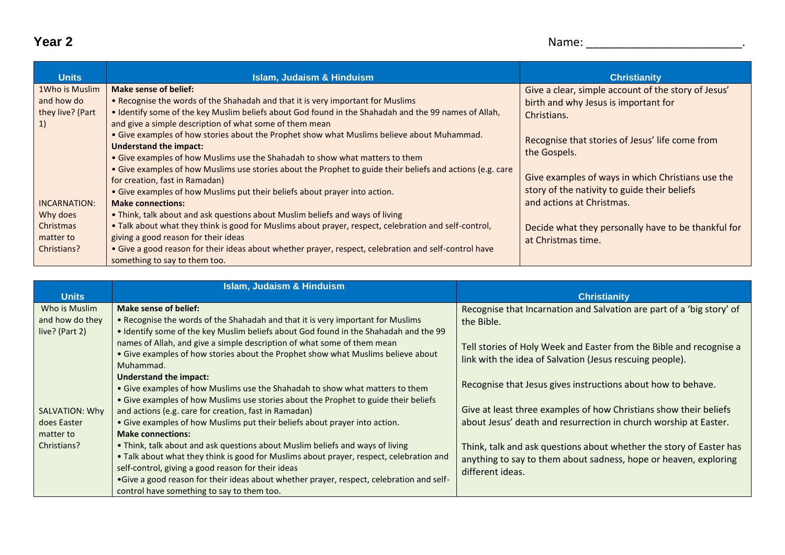| <b>Units</b>     | <b>Islam, Judaism &amp; Hinduism</b>                                                                       | <b>Christianity</b>                                 |
|------------------|------------------------------------------------------------------------------------------------------------|-----------------------------------------------------|
| 1Who is Muslim   | Make sense of belief:                                                                                      | Give a clear, simple account of the story of Jesus' |
| and how do       | . Recognise the words of the Shahadah and that it is very important for Muslims                            | birth and why Jesus is important for                |
| they live? (Part | . Identify some of the key Muslim beliefs about God found in the Shahadah and the 99 names of Allah,       | Christians.                                         |
| 1)               | and give a simple description of what some of them mean                                                    |                                                     |
|                  | • Give examples of how stories about the Prophet show what Muslims believe about Muhammad.                 | Recognise that stories of Jesus' life come from     |
|                  | <b>Understand the impact:</b>                                                                              | the Gospels.                                        |
|                  | • Give examples of how Muslims use the Shahadah to show what matters to them                               |                                                     |
|                  | • Give examples of how Muslims use stories about the Prophet to guide their beliefs and actions (e.g. care |                                                     |
|                  | for creation, fast in Ramadan)                                                                             | Give examples of ways in which Christians use the   |
|                  | • Give examples of how Muslims put their beliefs about prayer into action.                                 | story of the nativity to guide their beliefs        |
| INCARNATION:     | <b>Make connections:</b>                                                                                   | and actions at Christmas.                           |
| Why does         | • Think, talk about and ask questions about Muslim beliefs and ways of living                              |                                                     |
| Christmas        | . Talk about what they think is good for Muslims about prayer, respect, celebration and self-control,      | Decide what they personally have to be thankful for |
| matter to        | giving a good reason for their ideas                                                                       | at Christmas time.                                  |
| Christians?      | . Give a good reason for their ideas about whether prayer, respect, celebration and self-control have      |                                                     |
|                  | something to say to them too.                                                                              |                                                     |

|                 | <b>Islam, Judaism &amp; Hinduism</b>                                                                          |                                                                       |
|-----------------|---------------------------------------------------------------------------------------------------------------|-----------------------------------------------------------------------|
| <b>Units</b>    |                                                                                                               | <b>Christianity</b>                                                   |
| Who is Muslim   | Make sense of belief:                                                                                         | Recognise that Incarnation and Salvation are part of a 'big story' of |
| and how do they | . Recognise the words of the Shahadah and that it is very important for Muslims                               | the Bible.                                                            |
| live? (Part 2)  | • Identify some of the key Muslim beliefs about God found in the Shahadah and the 99                          |                                                                       |
|                 | names of Allah, and give a simple description of what some of them mean                                       | Tell stories of Holy Week and Easter from the Bible and recognise a   |
|                 | . Give examples of how stories about the Prophet show what Muslims believe about                              | link with the idea of Salvation (Jesus rescuing people).              |
|                 | Muhammad.                                                                                                     |                                                                       |
|                 | <b>Understand the impact:</b><br>• Give examples of how Muslims use the Shahadah to show what matters to them | Recognise that Jesus gives instructions about how to behave.          |
|                 | • Give examples of how Muslims use stories about the Prophet to guide their beliefs                           |                                                                       |
| SALVATION: Why  | and actions (e.g. care for creation, fast in Ramadan)                                                         | Give at least three examples of how Christians show their beliefs     |
| does Easter     | • Give examples of how Muslims put their beliefs about prayer into action.                                    | about Jesus' death and resurrection in church worship at Easter.      |
| matter to       | <b>Make connections:</b>                                                                                      |                                                                       |
| Christians?     | • Think, talk about and ask questions about Muslim beliefs and ways of living                                 | Think, talk and ask questions about whether the story of Easter has   |
|                 | • Talk about what they think is good for Muslims about prayer, respect, celebration and                       | anything to say to them about sadness, hope or heaven, exploring      |
|                 | self-control, giving a good reason for their ideas                                                            | different ideas.                                                      |
|                 | •Give a good reason for their ideas about whether prayer, respect, celebration and self-                      |                                                                       |
|                 | control have something to say to them too.                                                                    |                                                                       |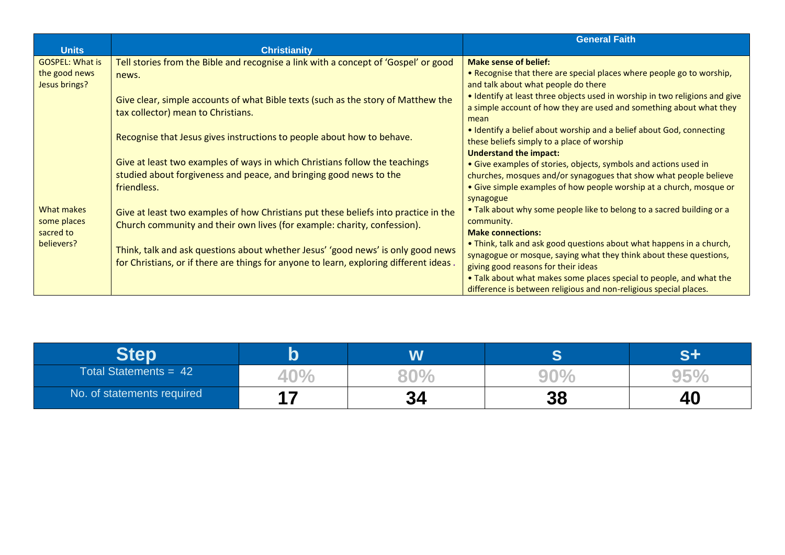|                          |                                                                                        | <b>General Faith</b>                                                        |
|--------------------------|----------------------------------------------------------------------------------------|-----------------------------------------------------------------------------|
| <b>Units</b>             | <b>Christianity</b>                                                                    |                                                                             |
| <b>GOSPEL: What is</b>   | Tell stories from the Bible and recognise a link with a concept of 'Gospel' or good    | <b>Make sense of belief:</b>                                                |
| the good news            | news.                                                                                  | . Recognise that there are special places where people go to worship,       |
| Jesus brings?            |                                                                                        | and talk about what people do there                                         |
|                          | Give clear, simple accounts of what Bible texts (such as the story of Matthew the      | . Identify at least three objects used in worship in two religions and give |
|                          |                                                                                        | a simple account of how they are used and something about what they         |
|                          | tax collector) mean to Christians.                                                     | mean                                                                        |
|                          |                                                                                        | • Identify a belief about worship and a belief about God, connecting        |
|                          | Recognise that Jesus gives instructions to people about how to behave.                 | these beliefs simply to a place of worship                                  |
|                          |                                                                                        | <b>Understand the impact:</b>                                               |
|                          | Give at least two examples of ways in which Christians follow the teachings            | • Give examples of stories, objects, symbols and actions used in            |
|                          | studied about forgiveness and peace, and bringing good news to the                     | churches, mosques and/or synagogues that show what people believe           |
|                          | friendless.                                                                            | • Give simple examples of how people worship at a church, mosque or         |
|                          |                                                                                        | synagogue                                                                   |
| What makes               | Give at least two examples of how Christians put these beliefs into practice in the    | . Talk about why some people like to belong to a sacred building or a       |
| some places<br>sacred to | Church community and their own lives (for example: charity, confession).               | community.                                                                  |
|                          |                                                                                        | <b>Make connections:</b>                                                    |
| believers?               |                                                                                        | . Think, talk and ask good questions about what happens in a church,        |
|                          | Think, talk and ask questions about whether Jesus' 'good news' is only good news       | synagogue or mosque, saying what they think about these questions,          |
|                          | for Christians, or if there are things for anyone to learn, exploring different ideas. | giving good reasons for their ideas                                         |
|                          |                                                                                        | . Talk about what makes some places special to people, and what the         |
|                          |                                                                                        | difference is between religious and non-religious special places.           |

|                            |     | W        |    |    |
|----------------------------|-----|----------|----|----|
| Total Statements = $42$    | 4 U |          |    |    |
| No. of statements required |     | Ω,<br>JЧ | 38 | 4U |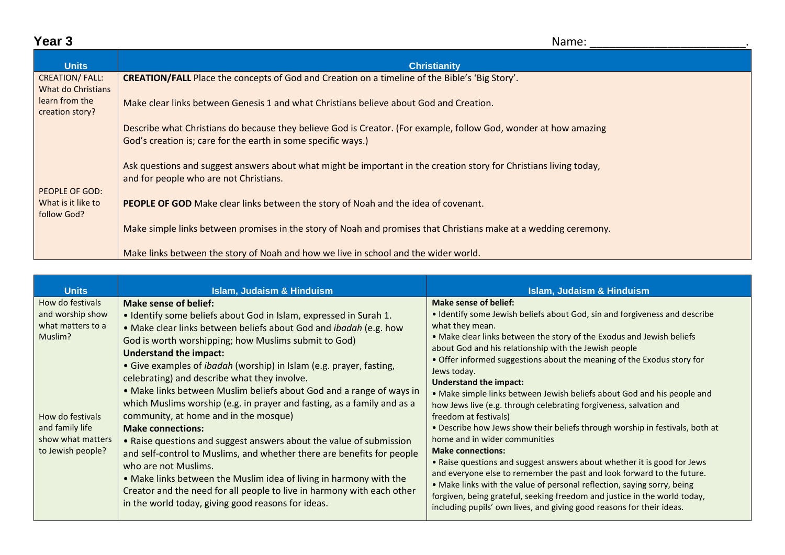## **Year 3** Name: \_\_\_\_\_\_\_\_\_\_\_\_\_\_\_\_\_\_\_\_\_\_\_\_.

| <b>Units</b>                                | <b>Christianity</b>                                                                                                                                                               |  |  |  |
|---------------------------------------------|-----------------------------------------------------------------------------------------------------------------------------------------------------------------------------------|--|--|--|
| <b>CREATION/FALL:</b><br>What do Christians | <b>CREATION/FALL</b> Place the concepts of God and Creation on a timeline of the Bible's 'Big Story'.                                                                             |  |  |  |
| learn from the<br>creation story?           | Make clear links between Genesis 1 and what Christians believe about God and Creation.                                                                                            |  |  |  |
|                                             | Describe what Christians do because they believe God is Creator. (For example, follow God, wonder at how amazing<br>God's creation is; care for the earth in some specific ways.) |  |  |  |
|                                             |                                                                                                                                                                                   |  |  |  |
|                                             | Ask questions and suggest answers about what might be important in the creation story for Christians living today,<br>and for people who are not Christians.                      |  |  |  |
| PEOPLE OF GOD:<br>What is it like to        | <b>PEOPLE OF GOD</b> Make clear links between the story of Noah and the idea of covenant.                                                                                         |  |  |  |
| follow God?                                 |                                                                                                                                                                                   |  |  |  |
|                                             | Make simple links between promises in the story of Noah and promises that Christians make at a wedding ceremony.                                                                  |  |  |  |
|                                             | Make links between the story of Noah and how we live in school and the wider world.                                                                                               |  |  |  |

| <b>Units</b>                                                                  | <b>Islam, Judaism &amp; Hinduism</b>                                                                                                                                                                                                                                                                                                                                                                                                                                                                                                      | <b>Islam, Judaism &amp; Hinduism</b>                                                                                                                                                                                                                                                                                                                                                                                                                                                                                                                     |
|-------------------------------------------------------------------------------|-------------------------------------------------------------------------------------------------------------------------------------------------------------------------------------------------------------------------------------------------------------------------------------------------------------------------------------------------------------------------------------------------------------------------------------------------------------------------------------------------------------------------------------------|----------------------------------------------------------------------------------------------------------------------------------------------------------------------------------------------------------------------------------------------------------------------------------------------------------------------------------------------------------------------------------------------------------------------------------------------------------------------------------------------------------------------------------------------------------|
| How do festivals<br>and worship show<br>what matters to a<br>Muslim?          | Make sense of belief:<br>• Identify some beliefs about God in Islam, expressed in Surah 1.<br>. Make clear links between beliefs about God and ibadah (e.g. how<br>God is worth worshipping; how Muslims submit to God)<br><b>Understand the impact:</b><br>• Give examples of <i>ibadah</i> (worship) in Islam (e.g. prayer, fasting,<br>celebrating) and describe what they involve.<br>• Make links between Muslim beliefs about God and a range of ways in<br>which Muslims worship (e.g. in prayer and fasting, as a family and as a | Make sense of belief:<br>• Identify some Jewish beliefs about God, sin and forgiveness and describe<br>what they mean.<br>. Make clear links between the story of the Exodus and Jewish beliefs<br>about God and his relationship with the Jewish people<br>• Offer informed suggestions about the meaning of the Exodus story for<br>Jews today.<br><b>Understand the impact:</b><br>. Make simple links between Jewish beliefs about God and his people and<br>how Jews live (e.g. through celebrating forgiveness, salvation and                      |
| How do festivals<br>and family life<br>show what matters<br>to Jewish people? | community, at home and in the mosque)<br><b>Make connections:</b><br>• Raise questions and suggest answers about the value of submission<br>and self-control to Muslims, and whether there are benefits for people<br>who are not Muslims.<br>. Make links between the Muslim idea of living in harmony with the<br>Creator and the need for all people to live in harmony with each other<br>in the world today, giving good reasons for ideas.                                                                                          | freedom at festivals)<br>. Describe how Jews show their beliefs through worship in festivals, both at<br>home and in wider communities<br><b>Make connections:</b><br>. Raise questions and suggest answers about whether it is good for Jews<br>and everyone else to remember the past and look forward to the future.<br>• Make links with the value of personal reflection, saying sorry, being<br>forgiven, being grateful, seeking freedom and justice in the world today,<br>including pupils' own lives, and giving good reasons for their ideas. |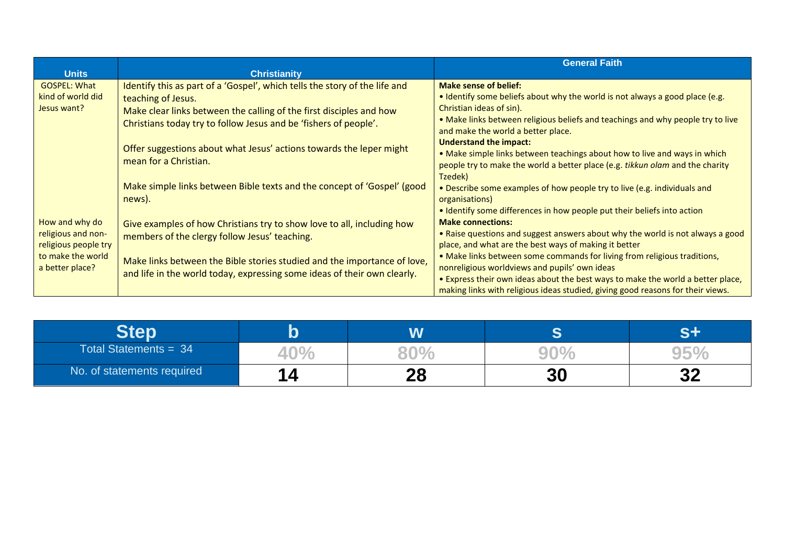|                                                                 |                                                                            | <b>General Faith</b>                                                            |
|-----------------------------------------------------------------|----------------------------------------------------------------------------|---------------------------------------------------------------------------------|
| <b>Units</b>                                                    | <b>Christianity</b>                                                        |                                                                                 |
| <b>GOSPEL: What</b>                                             | Identify this as part of a 'Gospel', which tells the story of the life and | <b>Make sense of belief:</b>                                                    |
| kind of world did                                               | teaching of Jesus.                                                         | • Identify some beliefs about why the world is not always a good place (e.g.    |
| Jesus want?                                                     | Make clear links between the calling of the first disciples and how        | Christian ideas of sin).                                                        |
|                                                                 | Christians today try to follow Jesus and be 'fishers of people'.           | . Make links between religious beliefs and teachings and why people try to live |
|                                                                 |                                                                            | and make the world a better place.                                              |
|                                                                 | Offer suggestions about what Jesus' actions towards the leper might        | <b>Understand the impact:</b>                                                   |
|                                                                 | mean for a Christian.                                                      | • Make simple links between teachings about how to live and ways in which       |
|                                                                 |                                                                            | people try to make the world a better place (e.g. tikkun olam and the charity   |
|                                                                 |                                                                            | Tzedek)                                                                         |
|                                                                 | Make simple links between Bible texts and the concept of 'Gospel' (good    | • Describe some examples of how people try to live (e.g. individuals and        |
|                                                                 | news).                                                                     | organisations)                                                                  |
|                                                                 |                                                                            | • Identify some differences in how people put their beliefs into action         |
| How and why do                                                  | Give examples of how Christians try to show love to all, including how     | <b>Make connections:</b>                                                        |
| religious and non-<br>religious people try<br>to make the world | members of the clergy follow Jesus' teaching.                              | • Raise questions and suggest answers about why the world is not always a good  |
|                                                                 |                                                                            | place, and what are the best ways of making it better                           |
|                                                                 | Make links between the Bible stories studied and the importance of love,   | • Make links between some commands for living from religious traditions,        |
| a better place?                                                 | and life in the world today, expressing some ideas of their own clearly.   | nonreligious worldviews and pupils' own ideas                                   |
|                                                                 |                                                                            | . Express their own ideas about the best ways to make the world a better place, |
|                                                                 |                                                                            | making links with religious ideas studied, giving good reasons for their views. |

|                            |         | W        |    |           |
|----------------------------|---------|----------|----|-----------|
| Total Statements = $34$    | 4U      |          |    |           |
| No. of statements required | я<br>14 | ററ<br>ZU | 30 | n n<br>JZ |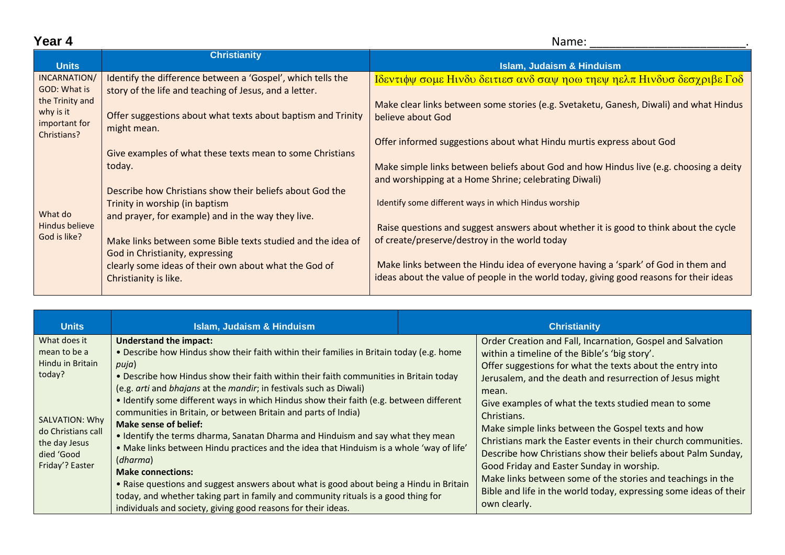| _ |  |
|---|--|
|---|--|

| Year 4                                          | Name:                                                                                                                 |                                                                                                                                                                              |
|-------------------------------------------------|-----------------------------------------------------------------------------------------------------------------------|------------------------------------------------------------------------------------------------------------------------------------------------------------------------------|
| <b>Units</b>                                    | <b>Christianity</b>                                                                                                   | <b>Islam, Judaism &amp; Hinduism</b>                                                                                                                                         |
| INCARNATION/<br>GOD: What is<br>the Trinity and | Identify the difference between a 'Gospel', which tells the<br>story of the life and teaching of Jesus, and a letter. | Ιδεντιφψ σομε Ηινδυ δειτιεσ ανδ σαψ ηοω τηεψ ηελπ Ηινδυσ δεσχριβε Γοδ                                                                                                        |
| why is it<br>important for<br>Christians?       | Offer suggestions about what texts about baptism and Trinity<br>might mean.                                           | Make clear links between some stories (e.g. Svetaketu, Ganesh, Diwali) and what Hindus<br>believe about God                                                                  |
|                                                 | Give examples of what these texts mean to some Christians                                                             | Offer informed suggestions about what Hindu murtis express about God                                                                                                         |
| What do<br>Hindus believe<br>God is like?       | today.<br>Describe how Christians show their beliefs about God the                                                    | Make simple links between beliefs about God and how Hindus live (e.g. choosing a deity<br>and worshipping at a Home Shrine; celebrating Diwali)                              |
|                                                 | Trinity in worship (in baptism<br>and prayer, for example) and in the way they live.                                  | Identify some different ways in which Hindus worship                                                                                                                         |
|                                                 | Make links between some Bible texts studied and the idea of<br>God in Christianity, expressing                        | Raise questions and suggest answers about whether it is good to think about the cycle<br>of create/preserve/destroy in the world today                                       |
|                                                 | clearly some ideas of their own about what the God of<br>Christianity is like.                                        | Make links between the Hindu idea of everyone having a 'spark' of God in them and<br>ideas about the value of people in the world today, giving good reasons for their ideas |

| <b>Units</b>                                                                 | <b>Islam, Judaism &amp; Hinduism</b>                                                                                                                                                                                                                                                                                                                                                                                                                                                     | <b>Christianity</b>                                                                                                                                                                                                                                                                                                                                                                    |
|------------------------------------------------------------------------------|------------------------------------------------------------------------------------------------------------------------------------------------------------------------------------------------------------------------------------------------------------------------------------------------------------------------------------------------------------------------------------------------------------------------------------------------------------------------------------------|----------------------------------------------------------------------------------------------------------------------------------------------------------------------------------------------------------------------------------------------------------------------------------------------------------------------------------------------------------------------------------------|
| What does it<br>mean to be a<br>Hindu in Britain<br>today?<br>SALVATION: Why | <b>Understand the impact:</b><br>. Describe how Hindus show their faith within their families in Britain today (e.g. home<br>puja)<br>. Describe how Hindus show their faith within their faith communities in Britain today<br>(e.g. arti and bhajans at the mandir; in festivals such as Diwali)<br>. Identify some different ways in which Hindus show their faith (e.g. between different<br>communities in Britain, or between Britain and parts of India)<br>Make sense of belief: | Order Creation and Fall, Incarnation, Gospel and Salvation<br>within a timeline of the Bible's 'big story'.<br>Offer suggestions for what the texts about the entry into<br>Jerusalem, and the death and resurrection of Jesus might<br>mean.<br>Give examples of what the texts studied mean to some<br>Christians.                                                                   |
| do Christians call<br>the day Jesus<br>died 'Good<br>Friday'? Easter         | . Identify the terms dharma, Sanatan Dharma and Hinduism and say what they mean<br>. Make links between Hindu practices and the idea that Hinduism is a whole 'way of life'<br>(dharma)<br><b>Make connections:</b><br>• Raise questions and suggest answers about what is good about being a Hindu in Britain<br>today, and whether taking part in family and community rituals is a good thing for<br>individuals and society, giving good reasons for their ideas.                    | Make simple links between the Gospel texts and how<br>Christians mark the Easter events in their church communities.<br>Describe how Christians show their beliefs about Palm Sunday,<br>Good Friday and Easter Sunday in worship.<br>Make links between some of the stories and teachings in the<br>Bible and life in the world today, expressing some ideas of their<br>own clearly. |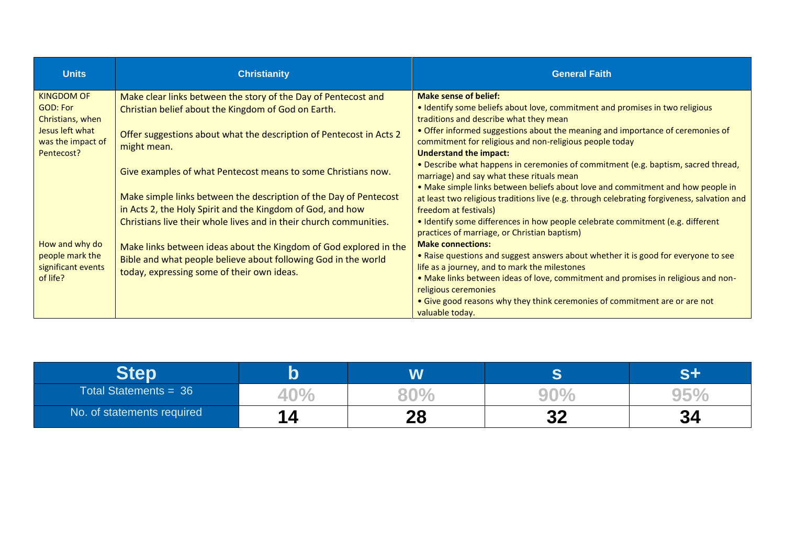| <b>Units</b>                                                        | <b>Christianity</b>                                                                                                                                                               | <b>General Faith</b>                                                                                                                                                                                                                                                         |
|---------------------------------------------------------------------|-----------------------------------------------------------------------------------------------------------------------------------------------------------------------------------|------------------------------------------------------------------------------------------------------------------------------------------------------------------------------------------------------------------------------------------------------------------------------|
| <b>KINGDOM OF</b><br>GOD: For                                       | Make clear links between the story of the Day of Pentecost and<br>Christian belief about the Kingdom of God on Earth.                                                             | <b>Make sense of belief:</b><br>• Identify some beliefs about love, commitment and promises in two religious                                                                                                                                                                 |
| Christians, when<br>Jesus left what<br>was the impact of            | Offer suggestions about what the description of Pentecost in Acts 2<br>might mean.                                                                                                | traditions and describe what they mean<br>. Offer informed suggestions about the meaning and importance of ceremonies of<br>commitment for religious and non-religious people today                                                                                          |
| Pentecost?                                                          | Give examples of what Pentecost means to some Christians now.                                                                                                                     | <b>Understand the impact:</b><br>. Describe what happens in ceremonies of commitment (e.g. baptism, sacred thread,<br>marriage) and say what these rituals mean                                                                                                              |
|                                                                     | Make simple links between the description of the Day of Pentecost<br>in Acts 2, the Holy Spirit and the Kingdom of God, and how                                                   | . Make simple links between beliefs about love and commitment and how people in<br>at least two religious traditions live (e.g. through celebrating forgiveness, salvation and<br>freedom at festivals)                                                                      |
|                                                                     | Christians live their whole lives and in their church communities.                                                                                                                | • Identify some differences in how people celebrate commitment (e.g. different<br>practices of marriage, or Christian baptism)                                                                                                                                               |
| How and why do<br>people mark the<br>significant events<br>of life? | Make links between ideas about the Kingdom of God explored in the<br>Bible and what people believe about following God in the world<br>today, expressing some of their own ideas. | <b>Make connections:</b><br>. Raise questions and suggest answers about whether it is good for everyone to see<br>life as a journey, and to mark the milestones<br>. Make links between ideas of love, commitment and promises in religious and non-<br>religious ceremonies |
|                                                                     |                                                                                                                                                                                   | • Give good reasons why they think ceremonies of commitment are or are not<br>valuable today.                                                                                                                                                                                |

|                            |          |          |           | <b>. .</b>       |
|----------------------------|----------|----------|-----------|------------------|
| Total Statements = $36$    | 40.      |          |           |                  |
| No. of statements required | <b>4</b> | 20<br>LO | nn.<br>JŁ | <b>21</b><br>IJЧ |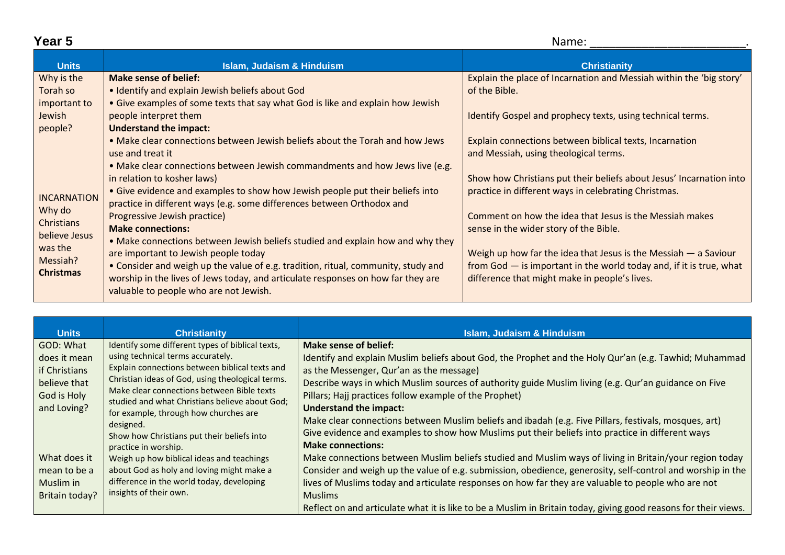|--|--|

| Year 5             |                                                                                   | Name:                                                                 |  |
|--------------------|-----------------------------------------------------------------------------------|-----------------------------------------------------------------------|--|
| <b>Units</b>       | <b>Islam, Judaism &amp; Hinduism</b>                                              | <b>Christianity</b>                                                   |  |
| Why is the         | <b>Make sense of belief:</b>                                                      | Explain the place of Incarnation and Messiah within the 'big story'   |  |
| Torah so           | • Identify and explain Jewish beliefs about God                                   | of the Bible.                                                         |  |
| important to       | • Give examples of some texts that say what God is like and explain how Jewish    |                                                                       |  |
| Jewish             | people interpret them                                                             | Identify Gospel and prophecy texts, using technical terms.            |  |
| people?            | <b>Understand the impact:</b>                                                     |                                                                       |  |
|                    | . Make clear connections between Jewish beliefs about the Torah and how Jews      | Explain connections between biblical texts, Incarnation               |  |
|                    | use and treat it                                                                  | and Messiah, using theological terms.                                 |  |
|                    | . Make clear connections between Jewish commandments and how Jews live (e.g.      |                                                                       |  |
|                    | in relation to kosher laws)                                                       | Show how Christians put their beliefs about Jesus' Incarnation into   |  |
| <b>INCARNATION</b> | • Give evidence and examples to show how Jewish people put their beliefs into     | practice in different ways in celebrating Christmas.                  |  |
| Why do             | practice in different ways (e.g. some differences between Orthodox and            |                                                                       |  |
| Christians         | Progressive Jewish practice)                                                      | Comment on how the idea that Jesus is the Messiah makes               |  |
| believe Jesus      | <b>Make connections:</b>                                                          | sense in the wider story of the Bible.                                |  |
| was the            | . Make connections between Jewish beliefs studied and explain how and why they    |                                                                       |  |
| Messiah?           | are important to Jewish people today                                              | Weigh up how far the idea that Jesus is the Messiah $-$ a Saviour     |  |
| <b>Christmas</b>   | • Consider and weigh up the value of e.g. tradition, ritual, community, study and | from $God - is important in the world today and, if it is true, what$ |  |
|                    | worship in the lives of Jews today, and articulate responses on how far they are  | difference that might make in people's lives.                         |  |
|                    | valuable to people who are not Jewish.                                            |                                                                       |  |

| <b>Units</b>                                                                              | <b>Christianity</b>                                                                                                                                                                                                                                                                                                                                                                                                     | <b>Islam, Judaism &amp; Hinduism</b>                                                                                                                                                                                                                                                                                                                                                                                                                                                                                                                                                                                          |
|-------------------------------------------------------------------------------------------|-------------------------------------------------------------------------------------------------------------------------------------------------------------------------------------------------------------------------------------------------------------------------------------------------------------------------------------------------------------------------------------------------------------------------|-------------------------------------------------------------------------------------------------------------------------------------------------------------------------------------------------------------------------------------------------------------------------------------------------------------------------------------------------------------------------------------------------------------------------------------------------------------------------------------------------------------------------------------------------------------------------------------------------------------------------------|
| GOD: What<br>does it mean<br>lif Christians<br>believe that<br>God is Holy<br>and Loving? | Identify some different types of biblical texts,<br>using technical terms accurately.<br>Explain connections between biblical texts and<br>Christian ideas of God, using theological terms.<br>Make clear connections between Bible texts<br>studied and what Christians believe about God;<br>for example, through how churches are<br>designed.<br>Show how Christians put their beliefs into<br>practice in worship. | <b>Make sense of belief:</b><br>Identify and explain Muslim beliefs about God, the Prophet and the Holy Qur'an (e.g. Tawhid; Muhammad<br>as the Messenger, Qur'an as the message)<br>Describe ways in which Muslim sources of authority guide Muslim living (e.g. Qur'an guidance on Five<br>Pillars; Hajj practices follow example of the Prophet)<br><b>Understand the impact:</b><br>Make clear connections between Muslim beliefs and ibadah (e.g. Five Pillars, festivals, mosques, art)<br>Give evidence and examples to show how Muslims put their beliefs into practice in different ways<br><b>Make connections:</b> |
| What does it<br>l mean to be a<br>Muslim in<br>Britain today?                             | Weigh up how biblical ideas and teachings<br>about God as holy and loving might make a<br>difference in the world today, developing<br>insights of their own.                                                                                                                                                                                                                                                           | Make connections between Muslim beliefs studied and Muslim ways of living in Britain/your region today<br>Consider and weigh up the value of e.g. submission, obedience, generosity, self-control and worship in the<br>lives of Muslims today and articulate responses on how far they are valuable to people who are not<br><b>Muslims</b><br>Reflect on and articulate what it is like to be a Muslim in Britain today, giving good reasons for their views.                                                                                                                                                               |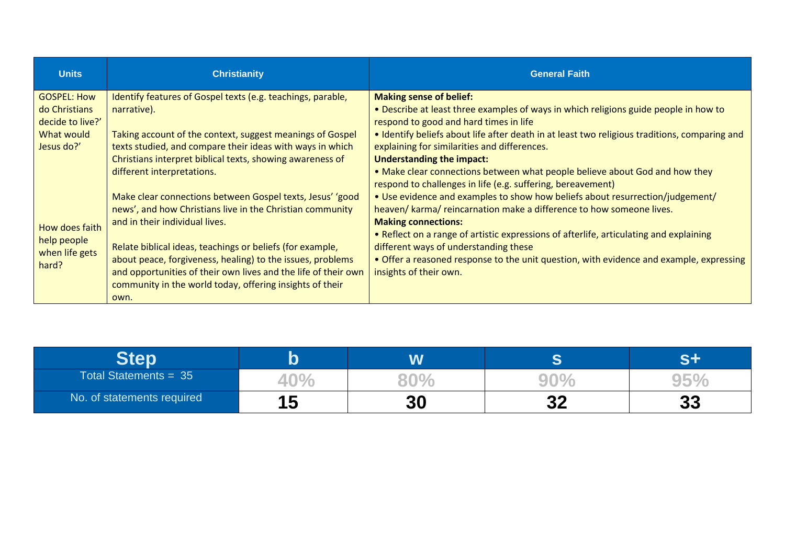| <b>Units</b>                                            | <b>Christianity</b>                                                                                                                                                                                                                                   | <b>General Faith</b>                                                                                                                                                                                                                                 |
|---------------------------------------------------------|-------------------------------------------------------------------------------------------------------------------------------------------------------------------------------------------------------------------------------------------------------|------------------------------------------------------------------------------------------------------------------------------------------------------------------------------------------------------------------------------------------------------|
| <b>GOSPEL: How</b><br>do Christians<br>decide to live?' | Identify features of Gospel texts (e.g. teachings, parable,<br>narrative).                                                                                                                                                                            | <b>Making sense of belief:</b><br>. Describe at least three examples of ways in which religions guide people in how to<br>respond to good and hard times in life                                                                                     |
| What would<br>Jesus do?'                                | Taking account of the context, suggest meanings of Gospel<br>texts studied, and compare their ideas with ways in which<br>Christians interpret biblical texts, showing awareness of                                                                   | • Identify beliefs about life after death in at least two religious traditions, comparing and<br>explaining for similarities and differences.<br><b>Understanding the impact:</b>                                                                    |
|                                                         | different interpretations.                                                                                                                                                                                                                            | . Make clear connections between what people believe about God and how they<br>respond to challenges in life (e.g. suffering, bereavement)                                                                                                           |
|                                                         | news', and how Christians live in the Christian community<br>and in their individual lives.                                                                                                                                                           | • Use evidence and examples to show how beliefs about resurrection/judgement/<br>heaven/ karma/ reincarnation make a difference to how someone lives.<br><b>Making connections:</b>                                                                  |
| help people<br>when life gets<br>hard?                  | Relate biblical ideas, teachings or beliefs (for example,<br>about peace, forgiveness, healing) to the issues, problems<br>and opportunities of their own lives and the life of their own<br>community in the world today, offering insights of their | • Reflect on a range of artistic expressions of afterlife, articulating and explaining<br>different ways of understanding these<br>• Offer a reasoned response to the unit question, with evidence and example, expressing<br>insights of their own. |
| How does faith                                          | Make clear connections between Gospel texts, Jesus' 'good<br>own.                                                                                                                                                                                     |                                                                                                                                                                                                                                                      |

| Total Statements = $35$    | 4U |           |           |          |
|----------------------------|----|-----------|-----------|----------|
| No. of statements required | 15 | <b>30</b> | n n<br>JŁ | クク<br>JJ |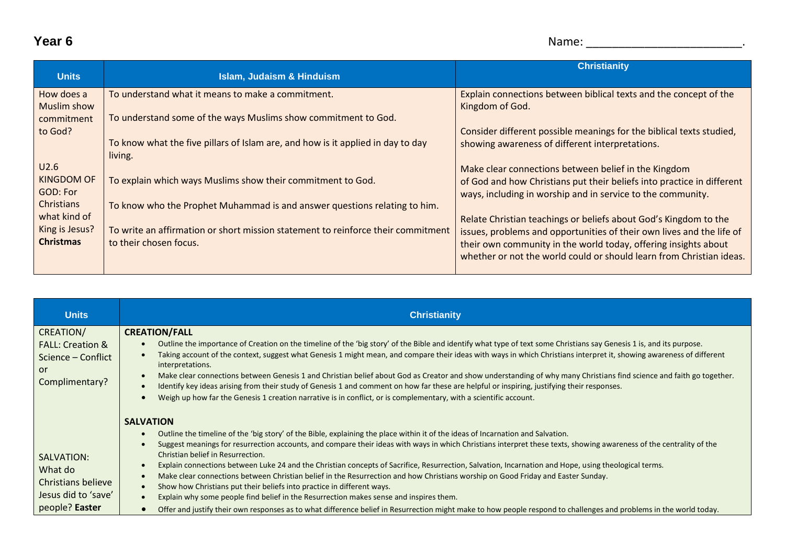## **Year 6** Name: \_\_\_\_\_\_\_\_\_\_\_\_\_\_\_\_\_\_\_\_\_\_\_\_.

| <b>Units</b>                   | <b>Islam, Judaism &amp; Hinduism</b>                                             | <b>Christianity</b>                                                                                                                       |
|--------------------------------|----------------------------------------------------------------------------------|-------------------------------------------------------------------------------------------------------------------------------------------|
| How does a                     | To understand what it means to make a commitment.                                | Explain connections between biblical texts and the concept of the                                                                         |
| Muslim show<br>commitment      | To understand some of the ways Muslims show commitment to God.                   | Kingdom of God.                                                                                                                           |
| to God?                        | To know what the five pillars of Islam are, and how is it applied in day to day  | Consider different possible meanings for the biblical texts studied,<br>showing awareness of different interpretations.                   |
| U2.6                           | living.                                                                          | Make clear connections between belief in the Kingdom                                                                                      |
| KINGDOM OF<br>GOD: For         | To explain which ways Muslims show their commitment to God.                      | of God and how Christians put their beliefs into practice in different                                                                    |
| Christians                     | To know who the Prophet Muhammad is and answer questions relating to him.        | ways, including in worship and in service to the community.                                                                               |
| what kind of<br>King is Jesus? | To write an affirmation or short mission statement to reinforce their commitment | Relate Christian teachings or beliefs about God's Kingdom to the<br>issues, problems and opportunities of their own lives and the life of |
| <b>Christmas</b>               | to their chosen focus.                                                           | their own community in the world today, offering insights about<br>whether or not the world could or should learn from Christian ideas.   |
|                                |                                                                                  |                                                                                                                                           |

| <b>Units</b>                                                                           | <b>Christianity</b>                                                                                                                                                                                                                                                                                                                                                                                                                                                                                                                                                                                                                                                                                                                                                                                                                                                                                                                                                                                                                                                                 |  |  |  |  |
|----------------------------------------------------------------------------------------|-------------------------------------------------------------------------------------------------------------------------------------------------------------------------------------------------------------------------------------------------------------------------------------------------------------------------------------------------------------------------------------------------------------------------------------------------------------------------------------------------------------------------------------------------------------------------------------------------------------------------------------------------------------------------------------------------------------------------------------------------------------------------------------------------------------------------------------------------------------------------------------------------------------------------------------------------------------------------------------------------------------------------------------------------------------------------------------|--|--|--|--|
| CREATION/<br><b>FALL: Creation &amp;</b><br>Science – Conflict<br>or<br>Complimentary? | <b>CREATION/FALL</b><br>Outline the importance of Creation on the timeline of the 'big story' of the Bible and identify what type of text some Christians say Genesis 1 is, and its purpose.<br>$\bullet$<br>Taking account of the context, suggest what Genesis 1 might mean, and compare their ideas with ways in which Christians interpret it, showing awareness of different<br>interpretations.<br>Make clear connections between Genesis 1 and Christian belief about God as Creator and show understanding of why many Christians find science and faith go together.<br>$\bullet$<br>Identify key ideas arising from their study of Genesis 1 and comment on how far these are helpful or inspiring, justifying their responses.<br>$\bullet$<br>Weigh up how far the Genesis 1 creation narrative is in conflict, or is complementary, with a scientific account.                                                                                                                                                                                                         |  |  |  |  |
| SALVATION:<br>What do<br>Christians believe<br>Jesus did to 'save'<br>people? Easter   | <b>SALVATION</b><br>Outline the timeline of the 'big story' of the Bible, explaining the place within it of the ideas of Incarnation and Salvation.<br>$\bullet$<br>Suggest meanings for resurrection accounts, and compare their ideas with ways in which Christians interpret these texts, showing awareness of the centrality of the<br>$\bullet$<br>Christian belief in Resurrection.<br>Explain connections between Luke 24 and the Christian concepts of Sacrifice, Resurrection, Salvation, Incarnation and Hope, using theological terms.<br>$\bullet$<br>Make clear connections between Christian belief in the Resurrection and how Christians worship on Good Friday and Easter Sunday.<br>$\bullet$<br>Show how Christians put their beliefs into practice in different ways.<br>$\bullet$<br>Explain why some people find belief in the Resurrection makes sense and inspires them.<br>$\bullet$<br>Offer and justify their own responses as to what difference belief in Resurrection might make to how people respond to challenges and problems in the world today. |  |  |  |  |